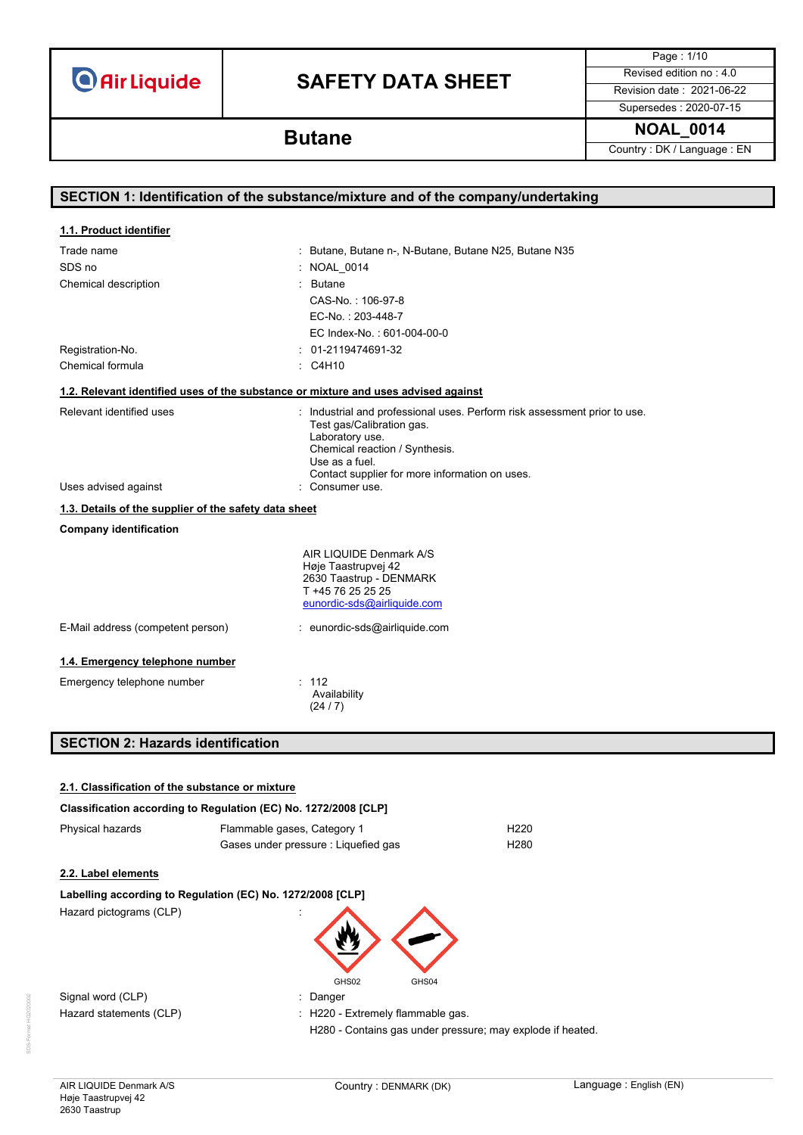# **SAFETY DATA SHEET** Revised edition no : 4.0

Page : 1/10 Supersedes : 2020-07-15

**NOAL\_0014 Butane**

Country : DK / Language : EN

| SECTION 1: Identification of the substance/mixture and of the company/undertaking  |                                                                                                                                                                                                                                 |  |
|------------------------------------------------------------------------------------|---------------------------------------------------------------------------------------------------------------------------------------------------------------------------------------------------------------------------------|--|
|                                                                                    |                                                                                                                                                                                                                                 |  |
| 1.1. Product identifier                                                            |                                                                                                                                                                                                                                 |  |
| Trade name                                                                         | : Butane, Butane n-, N-Butane, Butane N25, Butane N35                                                                                                                                                                           |  |
| SDS no                                                                             | : NOAL_0014                                                                                                                                                                                                                     |  |
| Chemical description                                                               | : Butane                                                                                                                                                                                                                        |  |
|                                                                                    | CAS-No.: 106-97-8                                                                                                                                                                                                               |  |
|                                                                                    | EC-No.: 203-448-7                                                                                                                                                                                                               |  |
|                                                                                    | EC Index-No.: 601-004-00-0                                                                                                                                                                                                      |  |
| Registration-No.                                                                   | : 01-2119474691-32                                                                                                                                                                                                              |  |
| Chemical formula                                                                   | $\therefore$ C4H10                                                                                                                                                                                                              |  |
| 1.2. Relevant identified uses of the substance or mixture and uses advised against |                                                                                                                                                                                                                                 |  |
| Relevant identified uses                                                           | : Industrial and professional uses. Perform risk assessment prior to use.<br>Test gas/Calibration gas.<br>Laboratory use.<br>Chemical reaction / Synthesis.<br>Use as a fuel.<br>Contact supplier for more information on uses. |  |
| Uses advised against                                                               | : Consumer use.                                                                                                                                                                                                                 |  |
| 1.3. Details of the supplier of the safety data sheet                              |                                                                                                                                                                                                                                 |  |
| <b>Company identification</b>                                                      |                                                                                                                                                                                                                                 |  |
|                                                                                    | AIR LIQUIDE Denmark A/S<br>Høje Taastrupvej 42<br>2630 Taastrup - DENMARK<br>T +45 76 25 25 25<br>eunordic-sds@airliquide.com                                                                                                   |  |
| E-Mail address (competent person)                                                  | : eunordic-sds@airliquide.com                                                                                                                                                                                                   |  |
| 1.4. Emergency telephone number                                                    |                                                                                                                                                                                                                                 |  |
| Emergency telephone number                                                         | : 112<br>Availability<br>(24/7)                                                                                                                                                                                                 |  |
| <b>SECTION 2: Hazards identification</b>                                           |                                                                                                                                                                                                                                 |  |

| 2.1. Classification of the substance or mixture |                                                                 |
|-------------------------------------------------|-----------------------------------------------------------------|
|                                                 | Classification according to Regulation (EC) No. 1272/2008 [CLP] |
| Physical hazards                                | H <sub>220</sub><br>Flammable gases, Category 1                 |
|                                                 | H <sub>280</sub><br>Gases under pressure : Liquefied gas        |
| 2.2. Label elements                             |                                                                 |
|                                                 | Labelling according to Regulation (EC) No. 1272/2008 [CLP]      |
| Hazard pictograms (CLP)                         |                                                                 |
|                                                 | GHS02<br>GHS04                                                  |
| Signal word (CLP)                               | : Danger                                                        |
| Hazard statements (CLP)                         | : H220 - Extremely flammable gas.                               |
|                                                 | H280 - Contains gas under pressure; may explode if heated.      |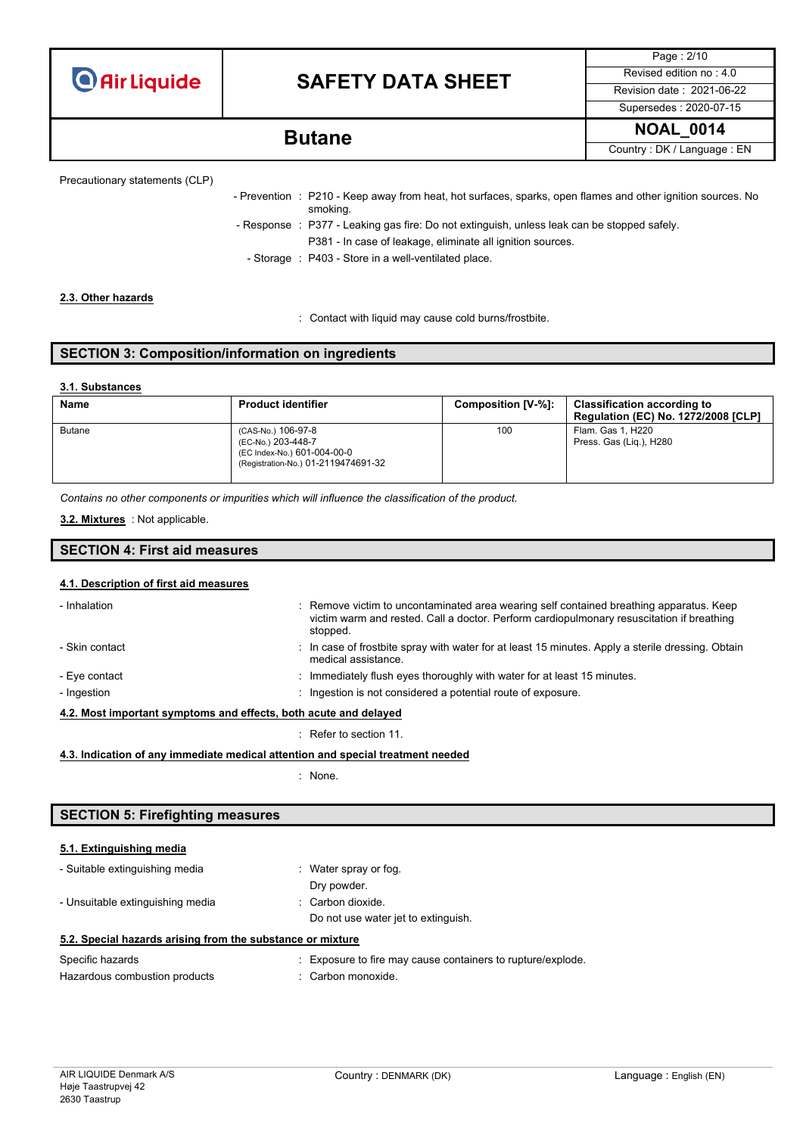# **SAFETY DATA SHEET** Revised edition no : 4.0

Page : 2/10 Supersedes : 2020-07-15

**NOAL\_0014 Butane**

Country : DK / Language : EN

```
Precautionary statements (CLP)
```
- Prevention : P210 - Keep away from heat, hot surfaces, sparks, open flames and other ignition sources. No smoking. - Response : P377 - Leaking gas fire: Do not extinguish, unless leak can be stopped safely. P381 - In case of leakage, eliminate all ignition sources. - Storage : P403 - Store in a well-ventilated place.

### **2.3. Other hazards**

: Contact with liquid may cause cold burns/frostbite.

## **SECTION 3: Composition/information on ingredients**

### **3.1. Substances**

| Name          | <b>Product identifier</b>                                                                                      | Composition [V-%]: | <b>Classification according to</b><br><b>Regulation (EC) No. 1272/2008 [CLP]</b> |
|---------------|----------------------------------------------------------------------------------------------------------------|--------------------|----------------------------------------------------------------------------------|
| <b>Butane</b> | (CAS-No.) 106-97-8<br>(EC-No.) 203-448-7<br>(EC Index-No.) 601-004-00-0<br>(Registration-No.) 01-2119474691-32 | 100                | Flam. Gas 1. H220<br>Press. Gas (Lig.), H280                                     |

*Contains no other components or impurities which will influence the classification of the product.*

: Not applicable. **3.2. Mixtures**

### **SECTION 4: First aid measures**

### **4.1. Description of first aid measures**

| - Inhalation                                                     | : Remove victim to uncontaminated area wearing self contained breathing apparatus. Keep<br>victim warm and rested. Call a doctor. Perform cardiopulmonary resuscitation if breathing<br>stopped. |  |
|------------------------------------------------------------------|--------------------------------------------------------------------------------------------------------------------------------------------------------------------------------------------------|--|
| - Skin contact                                                   | : In case of frostbite spray with water for at least 15 minutes. Apply a sterile dressing. Obtain<br>medical assistance.                                                                         |  |
| - Eye contact                                                    | : Immediately flush eyes thoroughly with water for at least 15 minutes.                                                                                                                          |  |
| - Ingestion                                                      | : Ingestion is not considered a potential route of exposure.                                                                                                                                     |  |
| 4.2. Most important symptoms and effects, both acute and delayed |                                                                                                                                                                                                  |  |

: Refer to section 11.

### **4.3. Indication of any immediate medical attention and special treatment needed**

: None.

### **SECTION 5: Firefighting measures**

### **5.1. Extinguishing media**

| - Suitable extinguishing media                             | : Water spray or fog.               |  |
|------------------------------------------------------------|-------------------------------------|--|
|                                                            | Dry powder.                         |  |
| - Unsuitable extinguishing media                           | : Carbon dioxide.                   |  |
|                                                            | Do not use water jet to extinguish. |  |
| 5.2. Special hazards arising from the substance or mixture |                                     |  |

| Specific hazards              | : Exposure to fire may cause containers to rupture/explode. |
|-------------------------------|-------------------------------------------------------------|
| Hazardous combustion products | : Carbon monoxide.                                          |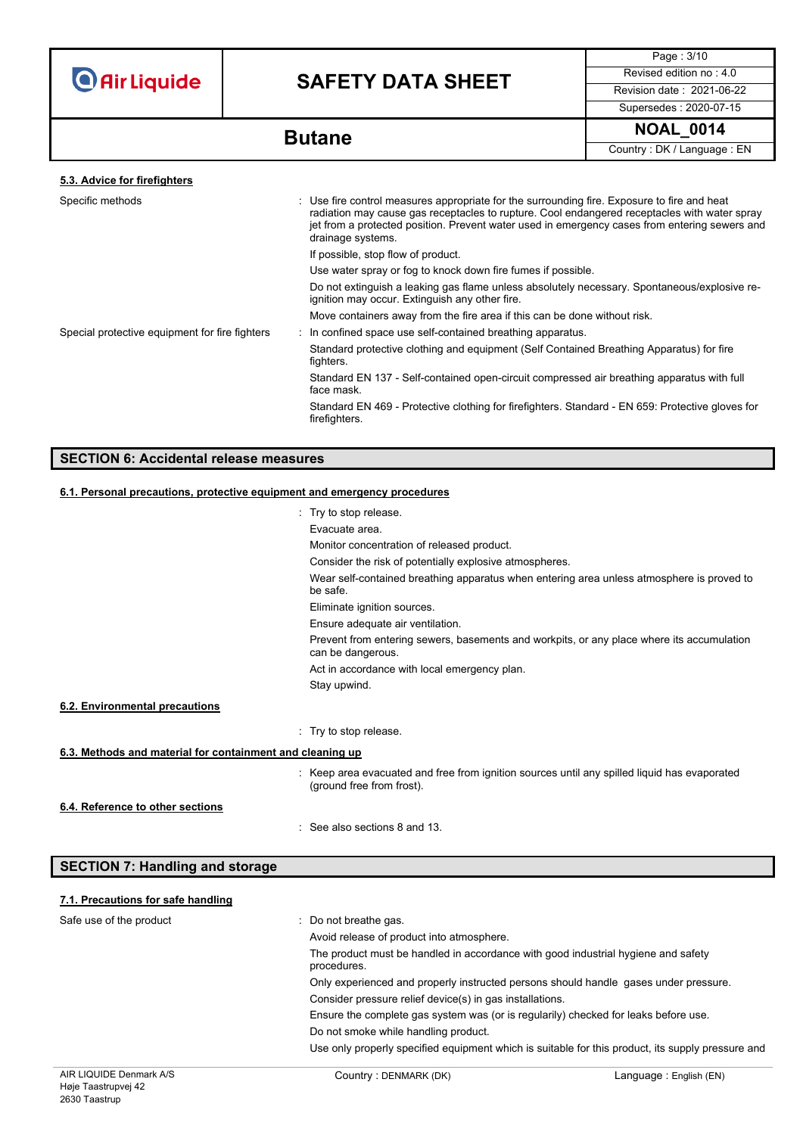# **SAFETY DATA SHEET** Revised edition no : 4.0

Page : 3/10 Supersedes : 2020-07-15

**NOAL\_0014 Butane**

Country : DK / Language : EN

| 5.3. Advice for firefighters                   |                                                                                                                                                                                                                                                                                                                   |
|------------------------------------------------|-------------------------------------------------------------------------------------------------------------------------------------------------------------------------------------------------------------------------------------------------------------------------------------------------------------------|
| Specific methods                               | : Use fire control measures appropriate for the surrounding fire. Exposure to fire and heat<br>radiation may cause gas receptacles to rupture. Cool endangered receptacles with water spray<br>jet from a protected position. Prevent water used in emergency cases from entering sewers and<br>drainage systems. |
|                                                | If possible, stop flow of product.                                                                                                                                                                                                                                                                                |
|                                                | Use water spray or fog to knock down fire fumes if possible.                                                                                                                                                                                                                                                      |
|                                                | Do not extinguish a leaking gas flame unless absolutely necessary. Spontaneous/explosive re-<br>ignition may occur. Extinguish any other fire.                                                                                                                                                                    |
|                                                | Move containers away from the fire area if this can be done without risk.                                                                                                                                                                                                                                         |
| Special protective equipment for fire fighters | : In confined space use self-contained breathing apparatus.                                                                                                                                                                                                                                                       |
|                                                | Standard protective clothing and equipment (Self Contained Breathing Apparatus) for fire<br>fighters.                                                                                                                                                                                                             |
|                                                | Standard EN 137 - Self-contained open-circuit compressed air breathing apparatus with full<br>face mask.                                                                                                                                                                                                          |
|                                                | Standard EN 469 - Protective clothing for firefighters. Standard - EN 659: Protective gloves for<br>firefighters.                                                                                                                                                                                                 |
|                                                |                                                                                                                                                                                                                                                                                                                   |

## **SECTION 6: Accidental release measures**

## **6.1. Personal precautions, protective equipment and emergency procedures**

|                                                           | : Try to stop release.                                                                                                    |
|-----------------------------------------------------------|---------------------------------------------------------------------------------------------------------------------------|
|                                                           | Evacuate area.                                                                                                            |
|                                                           | Monitor concentration of released product.                                                                                |
|                                                           | Consider the risk of potentially explosive atmospheres.                                                                   |
|                                                           | Wear self-contained breathing apparatus when entering area unless atmosphere is proved to<br>be safe.                     |
|                                                           | Eliminate ignition sources.                                                                                               |
|                                                           | Ensure adequate air ventilation.                                                                                          |
|                                                           | Prevent from entering sewers, basements and workpits, or any place where its accumulation<br>can be dangerous.            |
|                                                           | Act in accordance with local emergency plan.                                                                              |
|                                                           | Stay upwind.                                                                                                              |
| 6.2. Environmental precautions                            |                                                                                                                           |
|                                                           | : Try to stop release.                                                                                                    |
| 6.3. Methods and material for containment and cleaning up |                                                                                                                           |
|                                                           | : Keep area evacuated and free from ignition sources until any spilled liquid has evaporated<br>(ground free from frost). |
| 6.4. Reference to other sections                          |                                                                                                                           |
|                                                           | $\therefore$ See also sections 8 and 13.                                                                                  |

| <b>SECTION 7: Handling and storage</b> |                                                                                                  |
|----------------------------------------|--------------------------------------------------------------------------------------------------|
| 7.1. Precautions for safe handling     |                                                                                                  |
| Safe use of the product                | : Do not breathe gas.                                                                            |
|                                        | Avoid release of product into atmosphere.                                                        |
|                                        | The product must be handled in accordance with good industrial hygiene and safety<br>procedures. |
|                                        | Only experienced and properly instructed persons should handle gases under pressure.             |
|                                        | Consider pressure relief device(s) in gas installations.                                         |
|                                        | Ensure the complete gas system was (or is requisibly) checked for leaks before use               |

 $\epsilon$ e gas system was (or is regularily) checked for leaks before  $\iota$ 

Do not smoke while handling product.

Use only properly specified equipment which is suitable for this product, its supply pressure and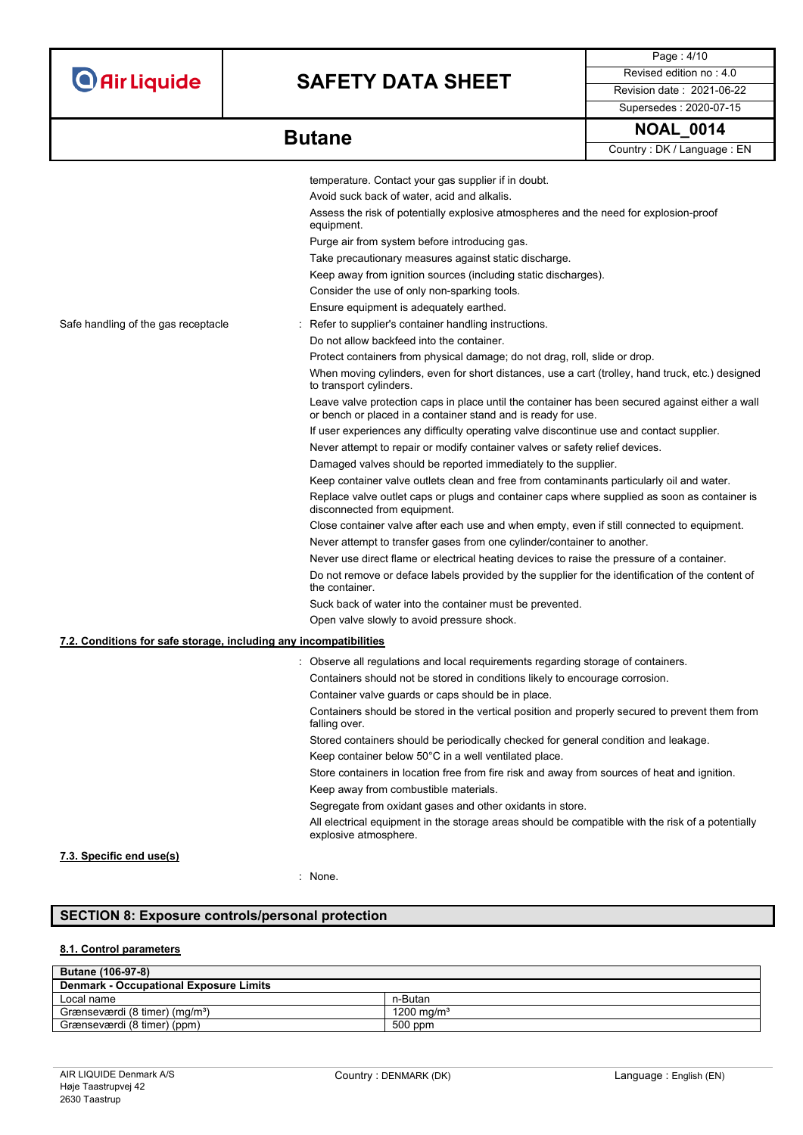# **SAFETY DATA SHEET** Revised edition no : 4.0

Page : 4/10 Supersedes : 2020-07-15

| <b>Butane</b> | <b>NOAL</b><br>0014                                    |
|---------------|--------------------------------------------------------|
|               | $O_{\text{cutoff}}$ . $\mathbf{D}^{t}$ is an integral. |

|  | Country: DK / Language: EN |
|--|----------------------------|
|--|----------------------------|

|                                                                   | temperature. Contact your gas supplier if in doubt.                                                                                                              |
|-------------------------------------------------------------------|------------------------------------------------------------------------------------------------------------------------------------------------------------------|
|                                                                   | Avoid suck back of water, acid and alkalis.                                                                                                                      |
|                                                                   | Assess the risk of potentially explosive atmospheres and the need for explosion-proof<br>equipment.                                                              |
|                                                                   | Purge air from system before introducing gas.                                                                                                                    |
|                                                                   | Take precautionary measures against static discharge.                                                                                                            |
|                                                                   | Keep away from ignition sources (including static discharges).                                                                                                   |
|                                                                   | Consider the use of only non-sparking tools.                                                                                                                     |
|                                                                   | Ensure equipment is adequately earthed.                                                                                                                          |
| Safe handling of the gas receptacle                               | Refer to supplier's container handling instructions.                                                                                                             |
|                                                                   | Do not allow backfeed into the container.                                                                                                                        |
|                                                                   | Protect containers from physical damage; do not drag, roll, slide or drop.                                                                                       |
|                                                                   | When moving cylinders, even for short distances, use a cart (trolley, hand truck, etc.) designed<br>to transport cylinders.                                      |
|                                                                   | Leave valve protection caps in place until the container has been secured against either a wall<br>or bench or placed in a container stand and is ready for use. |
|                                                                   | If user experiences any difficulty operating valve discontinue use and contact supplier.                                                                         |
|                                                                   | Never attempt to repair or modify container valves or safety relief devices.                                                                                     |
|                                                                   | Damaged valves should be reported immediately to the supplier.                                                                                                   |
|                                                                   | Keep container valve outlets clean and free from contaminants particularly oil and water.                                                                        |
|                                                                   | Replace valve outlet caps or plugs and container caps where supplied as soon as container is<br>disconnected from equipment.                                     |
|                                                                   | Close container valve after each use and when empty, even if still connected to equipment.                                                                       |
|                                                                   | Never attempt to transfer gases from one cylinder/container to another.                                                                                          |
|                                                                   | Never use direct flame or electrical heating devices to raise the pressure of a container.                                                                       |
|                                                                   | Do not remove or deface labels provided by the supplier for the identification of the content of<br>the container.                                               |
|                                                                   | Suck back of water into the container must be prevented.                                                                                                         |
|                                                                   | Open valve slowly to avoid pressure shock.                                                                                                                       |
| 7.2. Conditions for safe storage, including any incompatibilities |                                                                                                                                                                  |
|                                                                   | : Observe all regulations and local requirements regarding storage of containers.                                                                                |
|                                                                   | Containers should not be stored in conditions likely to encourage corrosion.                                                                                     |
|                                                                   | Container valve guards or caps should be in place.                                                                                                               |
|                                                                   | Containers should be stored in the vertical position and properly secured to prevent them from<br>falling over.                                                  |
|                                                                   | Stored containers should be periodically checked for general condition and leakage.                                                                              |
|                                                                   | Keep container below 50°C in a well ventilated place.                                                                                                            |
|                                                                   | Store containers in location free from fire risk and away from sources of heat and ignition.                                                                     |
|                                                                   | Keep away from combustible materials.                                                                                                                            |
|                                                                   | Segregate from oxidant gases and other oxidants in store.                                                                                                        |
|                                                                   | All electrical equipment in the storage areas should be compatible with the risk of a potentially<br>explosive atmosphere.                                       |
| 7.3. Specific end use(s)                                          |                                                                                                                                                                  |

### : None.

## **SECTION 8: Exposure controls/personal protection**

## **8.1. Control parameters**

| <b>Butane (106-97-8)</b>                      |                        |  |
|-----------------------------------------------|------------------------|--|
| <b>Denmark - Occupational Exposure Limits</b> |                        |  |
| Local name                                    | n-Butan                |  |
| Grænseværdi (8 timer) (mg/m <sup>3</sup> )    | 1200 mg/m <sup>3</sup> |  |
| Grænseværdi (8 timer) (ppm)                   | 500 ppm                |  |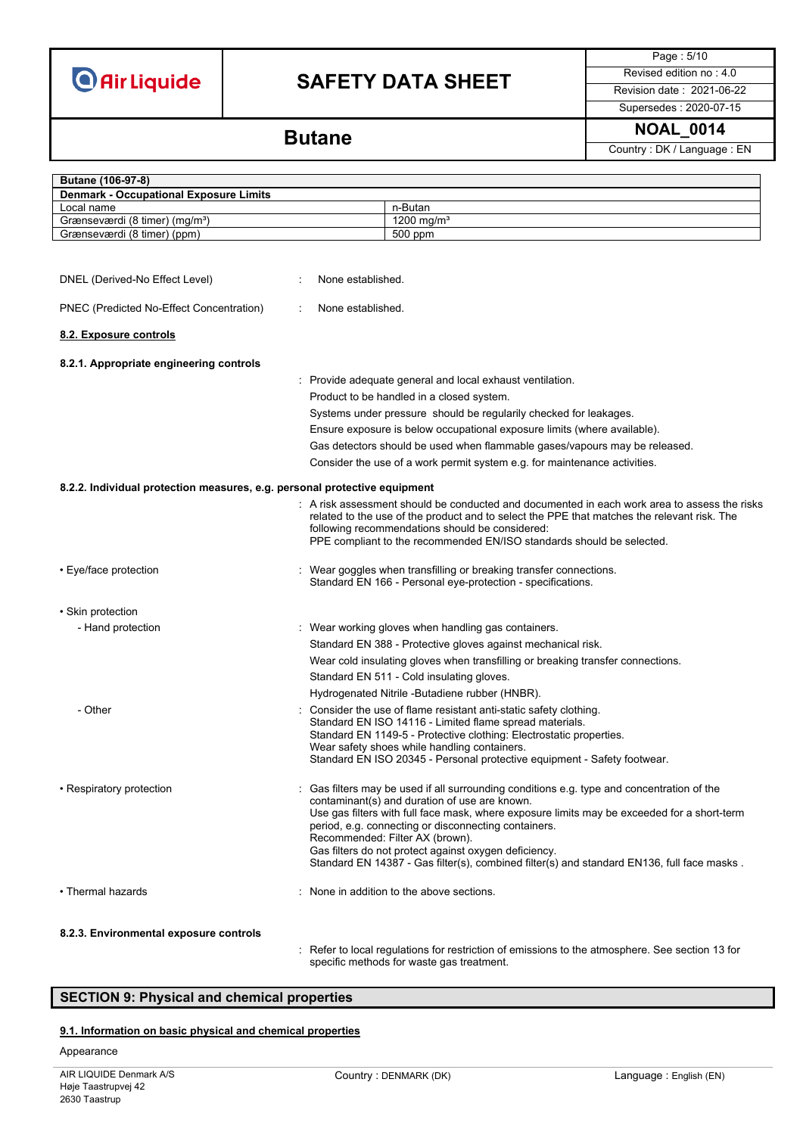# **SAFETY DATA SHEET** Revised edition no : 4.0

Page : 5/10

Supersedes : 2020-07-15

Country : DK / Language : EN

## **NOAL\_0014 Butane**

| Butane (106-97-8)                                                         |                   |                                                                                                                                                                                                                                                                                                                                                                                                                                                                                            |
|---------------------------------------------------------------------------|-------------------|--------------------------------------------------------------------------------------------------------------------------------------------------------------------------------------------------------------------------------------------------------------------------------------------------------------------------------------------------------------------------------------------------------------------------------------------------------------------------------------------|
| <b>Denmark - Occupational Exposure Limits</b>                             |                   |                                                                                                                                                                                                                                                                                                                                                                                                                                                                                            |
| Local name                                                                |                   | n-Butan                                                                                                                                                                                                                                                                                                                                                                                                                                                                                    |
| Grænseværdi (8 timer) (mg/m <sup>3</sup> )                                |                   | 1200 mg/m <sup>3</sup>                                                                                                                                                                                                                                                                                                                                                                                                                                                                     |
| Grænseværdi (8 timer) (ppm)                                               |                   | 500 ppm                                                                                                                                                                                                                                                                                                                                                                                                                                                                                    |
|                                                                           |                   |                                                                                                                                                                                                                                                                                                                                                                                                                                                                                            |
| DNEL (Derived-No Effect Level)                                            | None established. |                                                                                                                                                                                                                                                                                                                                                                                                                                                                                            |
| PNEC (Predicted No-Effect Concentration)                                  | None established. |                                                                                                                                                                                                                                                                                                                                                                                                                                                                                            |
| 8.2. Exposure controls                                                    |                   |                                                                                                                                                                                                                                                                                                                                                                                                                                                                                            |
| 8.2.1. Appropriate engineering controls                                   |                   | : Provide adequate general and local exhaust ventilation.                                                                                                                                                                                                                                                                                                                                                                                                                                  |
|                                                                           |                   | Product to be handled in a closed system.                                                                                                                                                                                                                                                                                                                                                                                                                                                  |
|                                                                           |                   |                                                                                                                                                                                                                                                                                                                                                                                                                                                                                            |
|                                                                           |                   | Systems under pressure should be regularily checked for leakages.                                                                                                                                                                                                                                                                                                                                                                                                                          |
|                                                                           |                   | Ensure exposure is below occupational exposure limits (where available).                                                                                                                                                                                                                                                                                                                                                                                                                   |
|                                                                           |                   | Gas detectors should be used when flammable gases/vapours may be released.                                                                                                                                                                                                                                                                                                                                                                                                                 |
|                                                                           |                   | Consider the use of a work permit system e.g. for maintenance activities.                                                                                                                                                                                                                                                                                                                                                                                                                  |
| 8.2.2. Individual protection measures, e.g. personal protective equipment |                   |                                                                                                                                                                                                                                                                                                                                                                                                                                                                                            |
|                                                                           |                   | $\colon\;$ A risk assessment should be conducted and documented in each work area to assess the risks<br>related to the use of the product and to select the PPE that matches the relevant risk. The<br>following recommendations should be considered:<br>PPE compliant to the recommended EN/ISO standards should be selected.                                                                                                                                                           |
| • Eye/face protection                                                     |                   | Wear goggles when transfilling or breaking transfer connections.<br>Standard EN 166 - Personal eye-protection - specifications.                                                                                                                                                                                                                                                                                                                                                            |
| • Skin protection                                                         |                   |                                                                                                                                                                                                                                                                                                                                                                                                                                                                                            |
| - Hand protection                                                         |                   | : Wear working gloves when handling gas containers.                                                                                                                                                                                                                                                                                                                                                                                                                                        |
|                                                                           |                   |                                                                                                                                                                                                                                                                                                                                                                                                                                                                                            |
|                                                                           |                   | Standard EN 388 - Protective gloves against mechanical risk.                                                                                                                                                                                                                                                                                                                                                                                                                               |
|                                                                           |                   | Wear cold insulating gloves when transfilling or breaking transfer connections.                                                                                                                                                                                                                                                                                                                                                                                                            |
|                                                                           |                   | Standard EN 511 - Cold insulating gloves.                                                                                                                                                                                                                                                                                                                                                                                                                                                  |
|                                                                           |                   | Hydrogenated Nitrile -Butadiene rubber (HNBR).                                                                                                                                                                                                                                                                                                                                                                                                                                             |
| - Other                                                                   |                   | Consider the use of flame resistant anti-static safety clothing.<br>Standard EN ISO 14116 - Limited flame spread materials.<br>Standard EN 1149-5 - Protective clothing: Electrostatic properties.<br>Wear safety shoes while handling containers.<br>Standard EN ISO 20345 - Personal protective equipment - Safety footwear.                                                                                                                                                             |
| • Respiratory protection                                                  |                   | Gas filters may be used if all surrounding conditions e.g. type and concentration of the<br>contaminant(s) and duration of use are known.<br>Use gas filters with full face mask, where exposure limits may be exceeded for a short-term<br>period, e.g. connecting or disconnecting containers.<br>Recommended: Filter AX (brown).<br>Gas filters do not protect against oxygen deficiency.<br>Standard EN 14387 - Gas filter(s), combined filter(s) and standard EN136, full face masks. |
| • Thermal hazards                                                         |                   | None in addition to the above sections.                                                                                                                                                                                                                                                                                                                                                                                                                                                    |
| 8.2.3. Environmental exposure controls                                    |                   | Befor to local requisitions for restriction of emissions to the atmosphere. See section 12 for                                                                                                                                                                                                                                                                                                                                                                                             |

: Refer to local regulations for restriction of emissions to the atmosphere. See section 13 for specific methods for waste gas treatment.

### **SECTION 9: Physical and chemical properties**

### **9.1. Information on basic physical and chemical properties**

### Appearance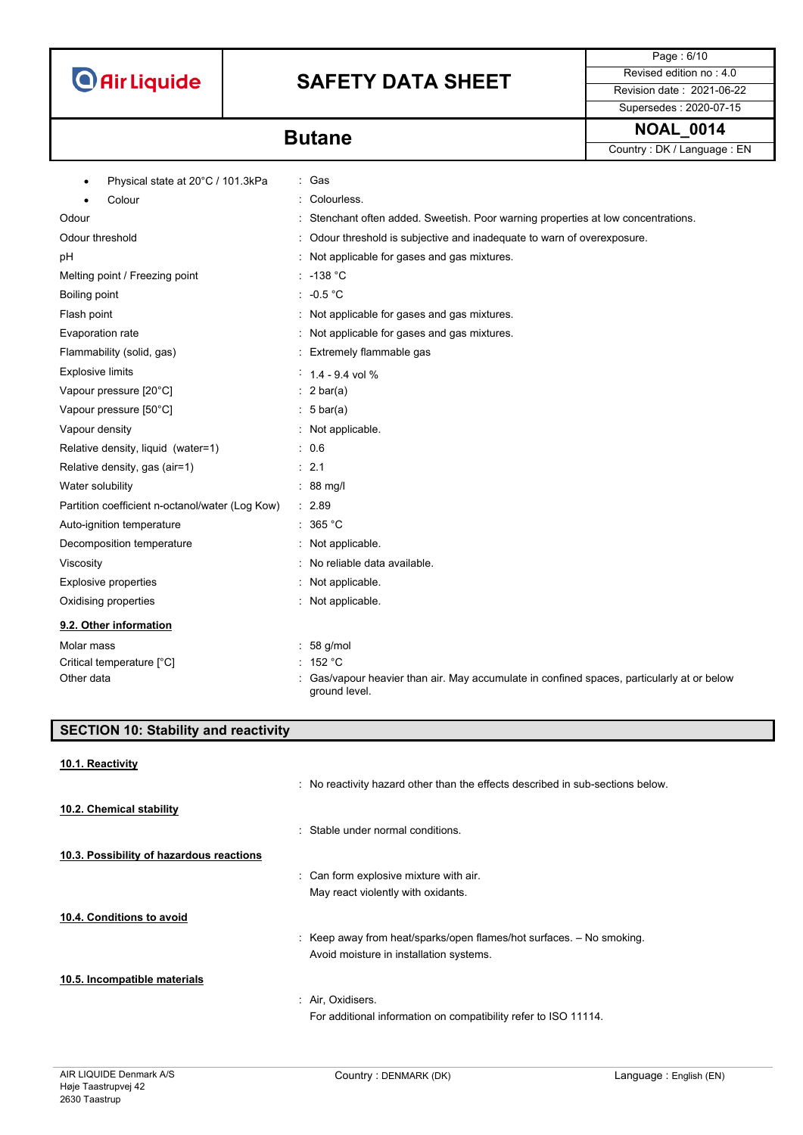# **SAFETY DATA SHEET** Revised edition no : 4.0

Page : 6/10 Supersedes : 2020-07-15

**Butane Butane Butane Butane Butane Butane Butane Butane Butane Butane Butane Butane Butane Butane Butane Butane Butane Butane Butane Butane Butane Butane Butane Butane Butan** Country : DK / Language : EN

| Physical state at 20°C / 101.3kPa<br>٠          | : Gas                                                                                                     |
|-------------------------------------------------|-----------------------------------------------------------------------------------------------------------|
| Colour<br>$\bullet$                             | Colourless.                                                                                               |
| Odour                                           | Stenchant often added. Sweetish. Poor warning properties at low concentrations.                           |
| Odour threshold                                 | Odour threshold is subjective and inadequate to warn of overexposure.                                     |
| pH                                              | Not applicable for gases and gas mixtures.                                                                |
| Melting point / Freezing point                  | $: -138 °C$                                                                                               |
| Boiling point                                   | : $-0.5$ °C                                                                                               |
| Flash point                                     | : Not applicable for gases and gas mixtures.                                                              |
| Evaporation rate                                | Not applicable for gases and gas mixtures.                                                                |
| Flammability (solid, gas)                       | Extremely flammable gas                                                                                   |
| <b>Explosive limits</b>                         | $1.4 - 9.4$ vol %                                                                                         |
| Vapour pressure [20°C]                          | $: 2 \text{ bar(a)}$                                                                                      |
| Vapour pressure [50°C]                          | $: 5 \text{ bar(a)}$                                                                                      |
| Vapour density                                  | : Not applicable.                                                                                         |
| Relative density, liquid (water=1)              | .06                                                                                                       |
| Relative density, gas (air=1)                   | : 2.1                                                                                                     |
| Water solubility                                | $: 88$ mg/                                                                                                |
| Partition coefficient n-octanol/water (Log Kow) | : 2.89                                                                                                    |
| Auto-ignition temperature                       | $\therefore$ 365 °C                                                                                       |
| Decomposition temperature                       | Not applicable.                                                                                           |
| Viscosity                                       | No reliable data available.                                                                               |
| <b>Explosive properties</b>                     | Not applicable.                                                                                           |
| Oxidising properties                            | : Not applicable.                                                                                         |
| 9.2. Other information                          |                                                                                                           |
| Molar mass                                      | 58 g/mol                                                                                                  |
| Critical temperature [°C]                       | 152 °C                                                                                                    |
| Other data                                      | Gas/vapour heavier than air. May accumulate in confined spaces, particularly at or below<br>ground level. |

| <b>SECTION 10: Stability and reactivity</b> |                                                                                |  |
|---------------------------------------------|--------------------------------------------------------------------------------|--|
| 10.1. Reactivity                            | : No reactivity hazard other than the effects described in sub-sections below. |  |
| 10.2. Chemical stability                    |                                                                                |  |
|                                             | : Stable under normal conditions.                                              |  |
| 10.3. Possibility of hazardous reactions    |                                                                                |  |
|                                             | : Can form explosive mixture with air.                                         |  |
|                                             | May react violently with oxidants.                                             |  |
| 10.4. Conditions to avoid                   |                                                                                |  |
|                                             | : Keep away from heat/sparks/open flames/hot surfaces. $-$ No smoking.         |  |
|                                             | Avoid moisture in installation systems.                                        |  |
| 10.5. Incompatible materials                |                                                                                |  |
|                                             | : Air, Oxidisers.                                                              |  |
|                                             | For additional information on compatibility refer to ISO 11114.                |  |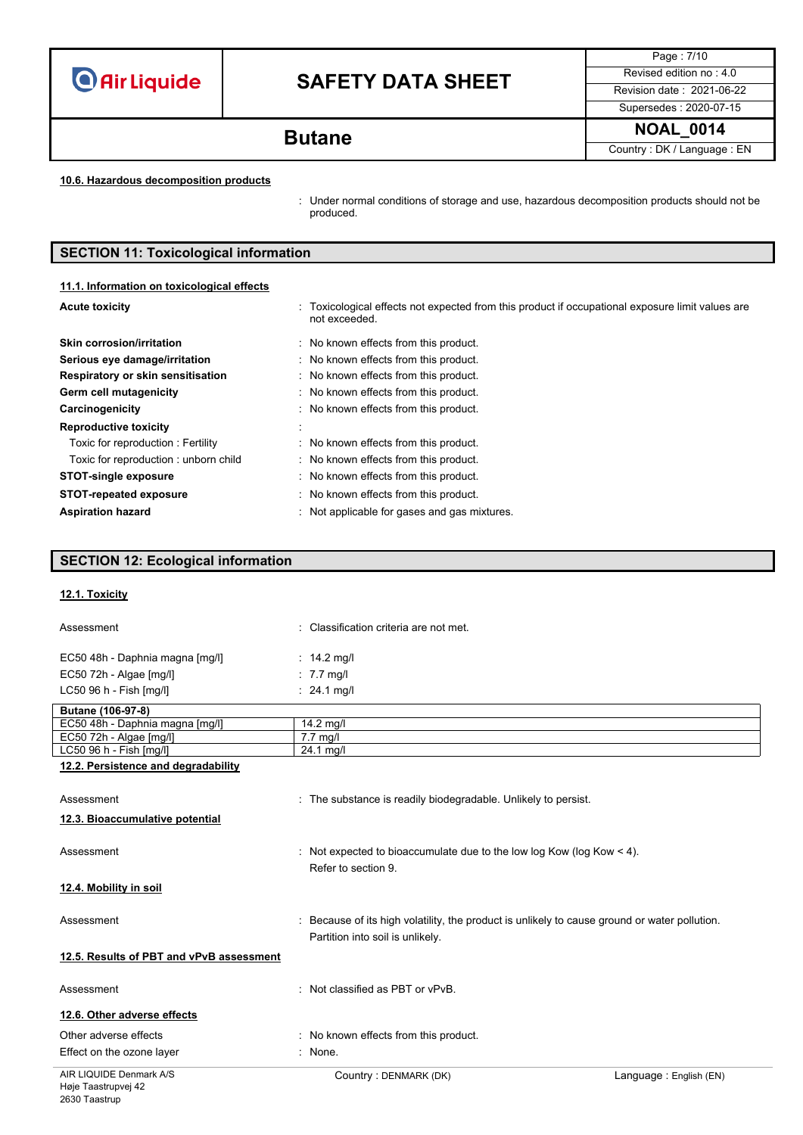# **SAFETY DATA SHEET** Revised edition no : 4.0

Page : 7/10 Supersedes : 2020-07-15

**NOAL\_0014 Butane**

Country : DK / Language : EN

### **10.6. Hazardous decomposition products**

: Under normal conditions of storage and use, hazardous decomposition products should not be produced.

## **SECTION 11: Toxicological information**

### **11.1. Information on toxicological effects**

| <b>Acute toxicity</b>                | : Toxicological effects not expected from this product if occupational exposure limit values are<br>not exceeded. |
|--------------------------------------|-------------------------------------------------------------------------------------------------------------------|
| <b>Skin corrosion/irritation</b>     | : No known effects from this product.                                                                             |
| Serious eye damage/irritation        | : No known effects from this product.                                                                             |
| Respiratory or skin sensitisation    | No known effects from this product.                                                                               |
| Germ cell mutagenicity               | No known effects from this product.                                                                               |
| Carcinogenicity                      | : No known effects from this product.                                                                             |
| <b>Reproductive toxicity</b>         |                                                                                                                   |
| Toxic for reproduction: Fertility    | No known effects from this product.                                                                               |
| Toxic for reproduction: unborn child | No known effects from this product.                                                                               |
| <b>STOT-single exposure</b>          | : No known effects from this product.                                                                             |
| <b>STOT-repeated exposure</b>        | No known effects from this product.                                                                               |
| <b>Aspiration hazard</b>             | Not applicable for gases and gas mixtures.                                                                        |

### **SECTION 12: Ecological information**

### **12.1. Toxicity**

| Assessment                               | : Classification criteria are not met.                                                                                          |                        |
|------------------------------------------|---------------------------------------------------------------------------------------------------------------------------------|------------------------|
| EC50 48h - Daphnia magna [mg/l]          | : $14.2 \text{ mq/l}$                                                                                                           |                        |
| EC50 72h - Algae [mg/l]                  | $: 7.7$ mg/                                                                                                                     |                        |
| LC50 96 h - Fish [mg/l]                  | : $24.1 \text{ mq/l}$                                                                                                           |                        |
| Butane (106-97-8)                        |                                                                                                                                 |                        |
| EC50 48h - Daphnia magna [mg/l]          | $14.2$ mg/l                                                                                                                     |                        |
| EC50 72h - Algae [mg/l]                  | $7.7 \text{ mg/l}$                                                                                                              |                        |
| LC50 96 h - Fish [mg/l]                  | 24.1 mg/l                                                                                                                       |                        |
| 12.2. Persistence and degradability      |                                                                                                                                 |                        |
| Assessment                               | : The substance is readily biodegradable. Unlikely to persist.                                                                  |                        |
| 12.3. Bioaccumulative potential          |                                                                                                                                 |                        |
| Assessment                               | : Not expected to bioaccumulate due to the low log Kow (log Kow $<$ 4).<br>Refer to section 9.                                  |                        |
| 12.4. Mobility in soil                   |                                                                                                                                 |                        |
| Assessment                               | Because of its high volatility, the product is unlikely to cause ground or water pollution.<br>Partition into soil is unlikely. |                        |
| 12.5. Results of PBT and vPvB assessment |                                                                                                                                 |                        |
| Assessment                               | : Not classified as PBT or vPvB.                                                                                                |                        |
| 12.6. Other adverse effects              |                                                                                                                                 |                        |
| Other adverse effects                    | : No known effects from this product.                                                                                           |                        |
| Effect on the ozone layer                | : None.                                                                                                                         |                        |
| AIR LIQUIDE Denmark A/S                  | Country: DENMARK (DK)                                                                                                           | Language: English (EN) |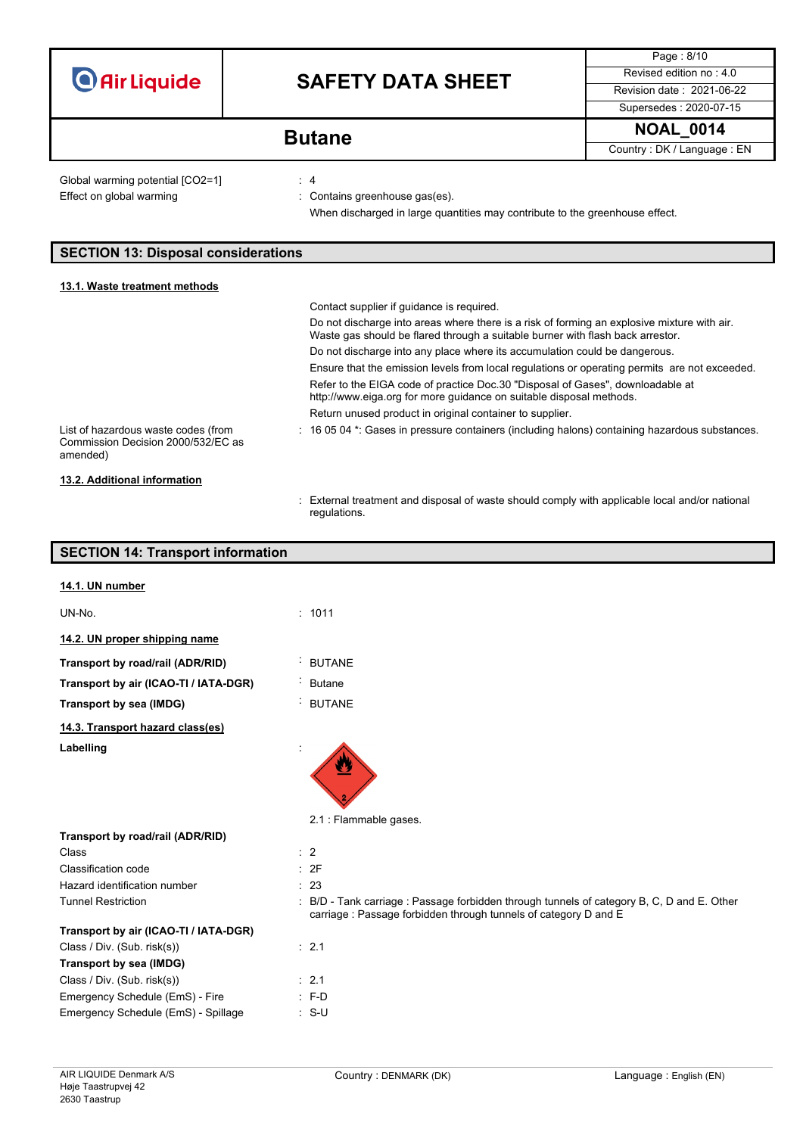|                                                                                                                                                                                       |                                                                                                                                                       | Page: 8/10                |
|---------------------------------------------------------------------------------------------------------------------------------------------------------------------------------------|-------------------------------------------------------------------------------------------------------------------------------------------------------|---------------------------|
| <b>O</b> Air Liquide                                                                                                                                                                  | <b>SAFETY DATA SHEET</b>                                                                                                                              | Revised edition no: 4.0   |
|                                                                                                                                                                                       |                                                                                                                                                       | Revision date: 2021-06-22 |
|                                                                                                                                                                                       |                                                                                                                                                       | Supersedes: 2020-07-15    |
| <b>Butane</b>                                                                                                                                                                         |                                                                                                                                                       | <b>NOAL 0014</b>          |
|                                                                                                                                                                                       |                                                                                                                                                       |                           |
| : 4<br>Global warming potential [CO2=1]<br>Effect on global warming<br>: Contains greenhouse gas(es).<br>When discharged in large quantities may contribute to the greenhouse effect. |                                                                                                                                                       |                           |
| <b>SECTION 13: Disposal considerations</b>                                                                                                                                            |                                                                                                                                                       |                           |
| 13.1. Waste treatment methods                                                                                                                                                         |                                                                                                                                                       |                           |
|                                                                                                                                                                                       | Contact supplier if quidance is required.                                                                                                             |                           |
| Do not discharge into areas where there is a risk of forming an explosive mixture with air.<br>Waste gas should be flared through a suitable burner with flash back arrestor.         |                                                                                                                                                       |                           |
|                                                                                                                                                                                       | Do not discharge into any place where its accumulation could be dangerous.                                                                            |                           |
|                                                                                                                                                                                       | Ensure that the emission levels from local regulations or operating permits are not exceeded.                                                         |                           |
|                                                                                                                                                                                       | Refer to the EIGA code of practice Doc.30 "Disposal of Gases", downloadable at<br>http://www.eiga.org for more guidance on suitable disposal methods. |                           |
|                                                                                                                                                                                       | Return unused product in original container to supplier.                                                                                              |                           |
| List of hazardous waste codes (from<br>Commission Decision 2000/532/EC as<br>amended)                                                                                                 | : 16 05 04 *: Gases in pressure containers (including halons) containing hazardous substances.                                                        |                           |
| 13.2. Additional information                                                                                                                                                          |                                                                                                                                                       |                           |

: External treatment and disposal of waste should comply with applicable local and/or national regulations.

## **SECTION 14: Transport information**

| 14.1. UN number                       |                                                                                                                                                             |
|---------------------------------------|-------------------------------------------------------------------------------------------------------------------------------------------------------------|
| UN-No.                                | : 1011                                                                                                                                                      |
| 14.2. UN proper shipping name         |                                                                                                                                                             |
| Transport by road/rail (ADR/RID)      | <b>BUTANE</b>                                                                                                                                               |
| Transport by air (ICAO-TI / IATA-DGR) | <b>Butane</b>                                                                                                                                               |
| Transport by sea (IMDG)               | <b>BUTANE</b>                                                                                                                                               |
| 14.3. Transport hazard class(es)      |                                                                                                                                                             |
| Labelling                             |                                                                                                                                                             |
|                                       | 2.1 : Flammable gases.                                                                                                                                      |
| Transport by road/rail (ADR/RID)      |                                                                                                                                                             |
| Class                                 | $\therefore$ 2                                                                                                                                              |
| Classification code                   | : 2F                                                                                                                                                        |
| Hazard identification number          | : 23                                                                                                                                                        |
| <b>Tunnel Restriction</b>             | B/D - Tank carriage : Passage forbidden through tunnels of category B, C, D and E. Other<br>carriage: Passage forbidden through tunnels of category D and E |
| Transport by air (ICAO-TI / IATA-DGR) |                                                                                                                                                             |
| Class / Div. (Sub. risk(s))           | : 2.1                                                                                                                                                       |
| Transport by sea (IMDG)               |                                                                                                                                                             |
| Class / Div. (Sub. risk(s))           | : 2.1                                                                                                                                                       |
| Emergency Schedule (EmS) - Fire       | $: F-D$                                                                                                                                                     |
| Emergency Schedule (EmS) - Spillage   | $: S-U$                                                                                                                                                     |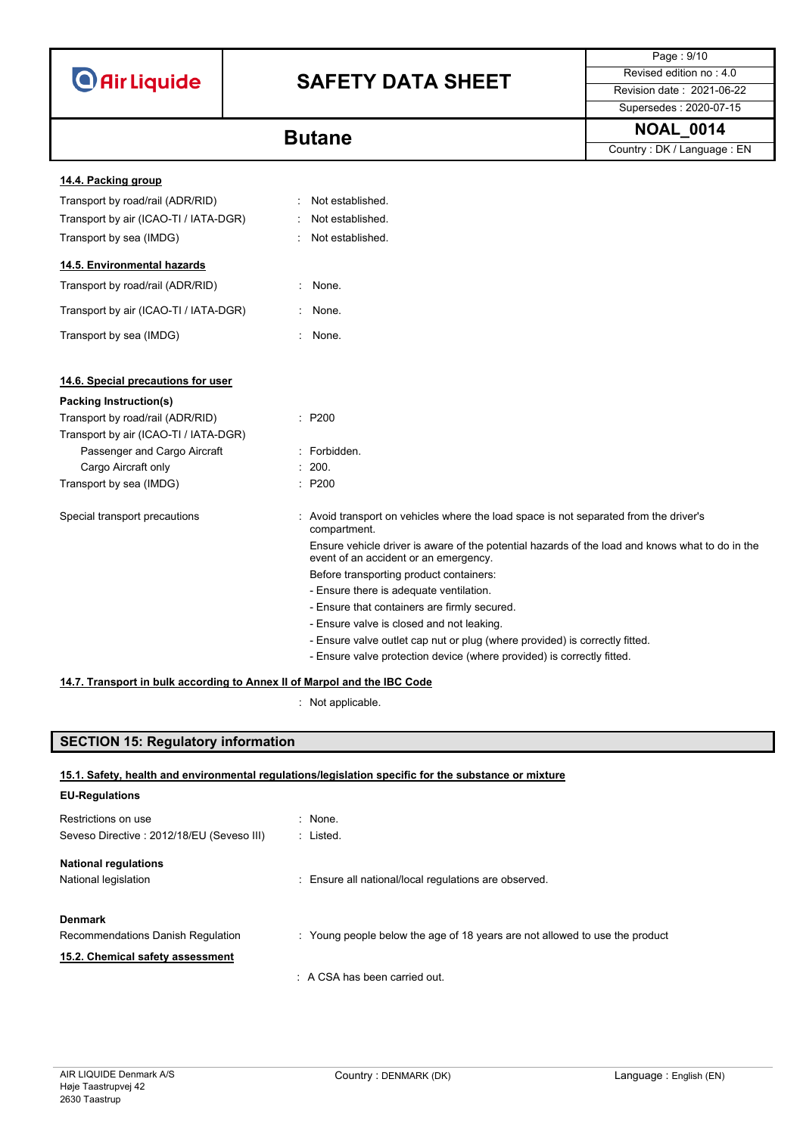|                                                                          |  |                                                                                                                                          | Page: 9/10                   |
|--------------------------------------------------------------------------|--|------------------------------------------------------------------------------------------------------------------------------------------|------------------------------|
| <b>O</b> Air Liquide                                                     |  | <b>SAFETY DATA SHEET</b>                                                                                                                 | Revised edition no: 4.0      |
|                                                                          |  |                                                                                                                                          | Revision date: 2021-06-22    |
|                                                                          |  |                                                                                                                                          | Supersedes: 2020-07-15       |
|                                                                          |  | <b>Butane</b>                                                                                                                            | <b>NOAL 0014</b>             |
|                                                                          |  |                                                                                                                                          | Country : DK / Language : EN |
| 14.4. Packing group                                                      |  |                                                                                                                                          |                              |
| Transport by road/rail (ADR/RID)                                         |  | Not established.                                                                                                                         |                              |
| Transport by air (ICAO-TI / IATA-DGR)                                    |  | Not established.                                                                                                                         |                              |
| Transport by sea (IMDG)                                                  |  | Not established.                                                                                                                         |                              |
|                                                                          |  |                                                                                                                                          |                              |
| 14.5. Environmental hazards                                              |  |                                                                                                                                          |                              |
| Transport by road/rail (ADR/RID)                                         |  | : None.                                                                                                                                  |                              |
| Transport by air (ICAO-TI / IATA-DGR)                                    |  | : None.                                                                                                                                  |                              |
| Transport by sea (IMDG)                                                  |  | : None.                                                                                                                                  |                              |
|                                                                          |  |                                                                                                                                          |                              |
| 14.6. Special precautions for user                                       |  |                                                                                                                                          |                              |
| Packing Instruction(s)                                                   |  |                                                                                                                                          |                              |
| Transport by road/rail (ADR/RID)                                         |  | : P200                                                                                                                                   |                              |
| Transport by air (ICAO-TI / IATA-DGR)                                    |  |                                                                                                                                          |                              |
| Passenger and Cargo Aircraft                                             |  | : Forbidden.                                                                                                                             |                              |
| Cargo Aircraft only                                                      |  | : 200.                                                                                                                                   |                              |
| Transport by sea (IMDG)                                                  |  | : P200                                                                                                                                   |                              |
| Special transport precautions                                            |  | : Avoid transport on vehicles where the load space is not separated from the driver's<br>compartment.                                    |                              |
|                                                                          |  | Ensure vehicle driver is aware of the potential hazards of the load and knows what to do in the<br>event of an accident or an emergency. |                              |
|                                                                          |  | Before transporting product containers:                                                                                                  |                              |
|                                                                          |  | - Ensure there is adequate ventilation.                                                                                                  |                              |
|                                                                          |  | - Ensure that containers are firmly secured.                                                                                             |                              |
|                                                                          |  | - Ensure valve is closed and not leaking.                                                                                                |                              |
|                                                                          |  | - Ensure valve outlet cap nut or plug (where provided) is correctly fitted.                                                              |                              |
|                                                                          |  | - Ensure valve protection device (where provided) is correctly fitted.                                                                   |                              |
| 14.7. Transport in bulk according to Annex II of Marpol and the IBC Code |  |                                                                                                                                          |                              |

: Not applicable.

## **SECTION 15: Regulatory information**

### **15.1. Safety, health and environmental regulations/legislation specific for the substance or mixture**

| <b>EU-Regulations</b>                     |                                                                             |
|-------------------------------------------|-----------------------------------------------------------------------------|
| Restrictions on use                       | $\therefore$ None.                                                          |
| Seveso Directive: 2012/18/EU (Seveso III) | : Listed.                                                                   |
| <b>National regulations</b>               |                                                                             |
| National legislation                      | : Ensure all national/local regulations are observed.                       |
| <b>Denmark</b>                            |                                                                             |
| Recommendations Danish Regulation         | : Young people below the age of 18 years are not allowed to use the product |
| 15.2. Chemical safety assessment          |                                                                             |
|                                           | $\therefore$ A CSA has been carried out.                                    |